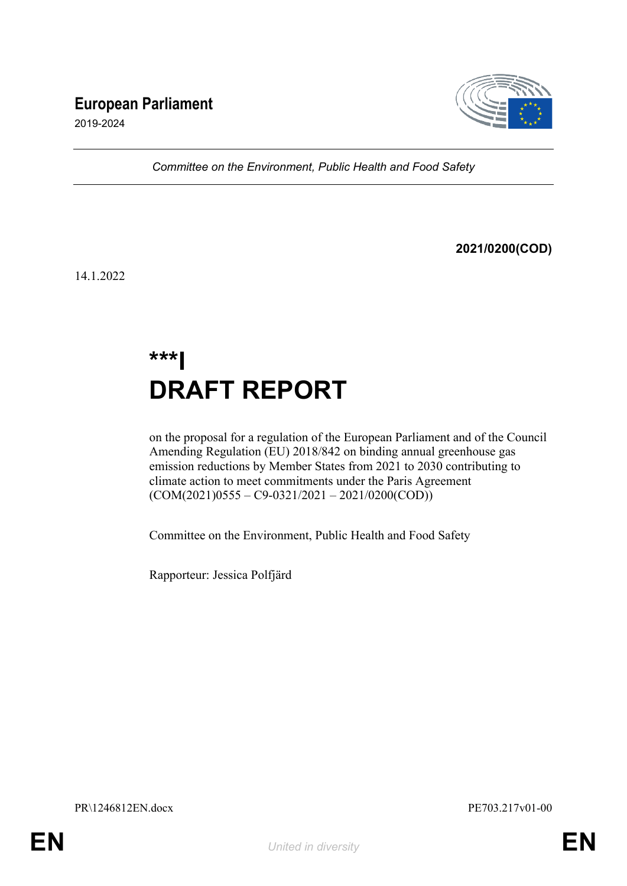# **European Parliament**



2019-2024

*Committee on the Environment, Public Health and Food Safety*

**2021/0200(COD)**

14.1.2022

# **\*\*\*I DRAFT REPORT**

on the proposal for a regulation of the European Parliament and of the Council Amending Regulation (EU) 2018/842 on binding annual greenhouse gas emission reductions by Member States from 2021 to 2030 contributing to climate action to meet commitments under the Paris Agreement  $(COM(2021)0555 - C9-0321/2021 - 2021/0200(COD))$ 

Committee on the Environment, Public Health and Food Safety

Rapporteur: Jessica Polfjärd

PR\1246812EN.docx PE703.217v01-00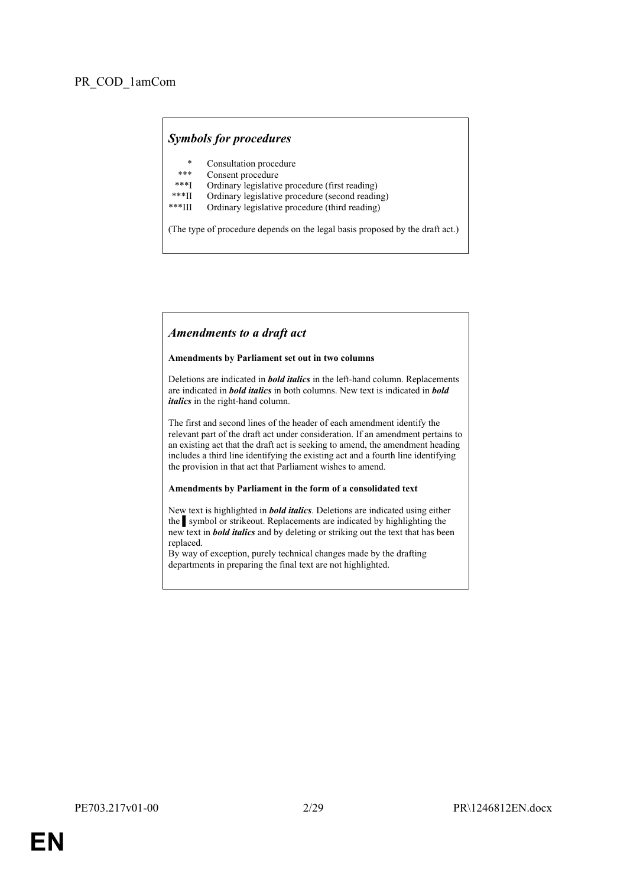#### *Symbols for procedures*

- \* Consultation procedure
- Consent procedure
- \*\*\*I Ordinary legislative procedure (first reading)<br>\*\*\*II Ordinary legislative procedure (second reading)
- \*\*\*II Ordinary legislative procedure (second reading)
- Ordinary legislative procedure (third reading)

(The type of procedure depends on the legal basis proposed by the draft act.)

#### *Amendments to a draft act*

#### **Amendments by Parliament set out in two columns**

Deletions are indicated in *bold italics* in the left-hand column. Replacements are indicated in *bold italics* in both columns. New text is indicated in *bold italics* in the right-hand column.

The first and second lines of the header of each amendment identify the relevant part of the draft act under consideration. If an amendment pertains to an existing act that the draft act is seeking to amend, the amendment heading includes a third line identifying the existing act and a fourth line identifying the provision in that act that Parliament wishes to amend.

#### **Amendments by Parliament in the form of a consolidated text**

New text is highlighted in *bold italics*. Deletions are indicated using either the symbol or strikeout. Replacements are indicated by highlighting the new text in *bold italics* and by deleting or striking out the text that has been replaced.

By way of exception, purely technical changes made by the drafting departments in preparing the final text are not highlighted.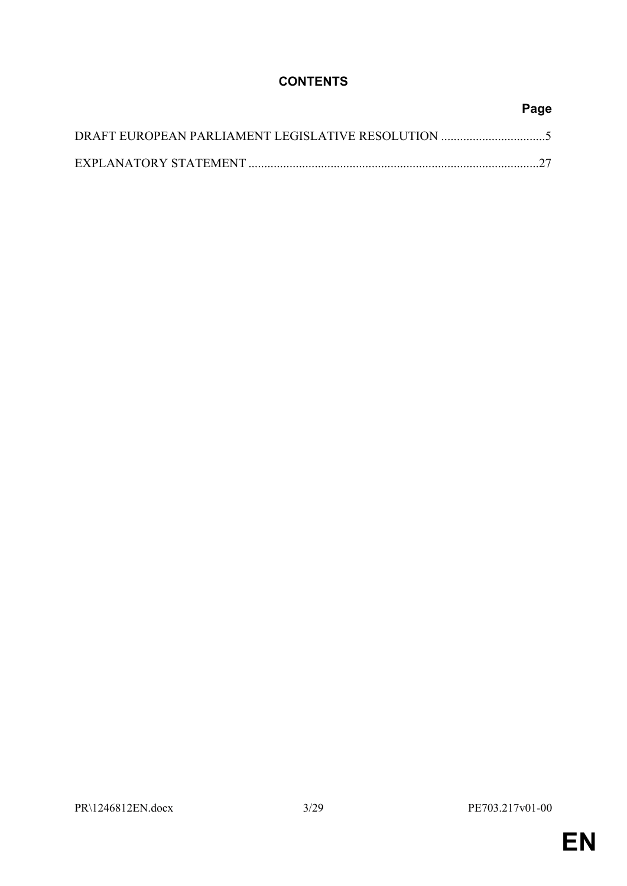# **CONTENTS**

| Page |
|------|
|      |
|      |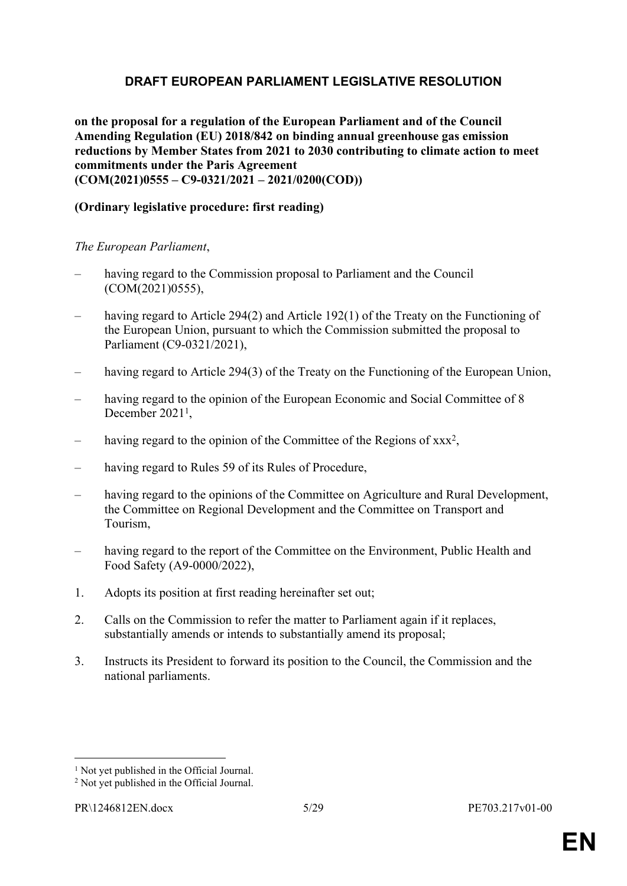# <span id="page-4-0"></span>**DRAFT EUROPEAN PARLIAMENT LEGISLATIVE RESOLUTION**

**on the proposal for a regulation of the European Parliament and of the Council Amending Regulation (EU) 2018/842 on binding annual greenhouse gas emission reductions by Member States from 2021 to 2030 contributing to climate action to meet commitments under the Paris Agreement (COM(2021)0555 – C9-0321/2021 – 2021/0200(COD))**

### **(Ordinary legislative procedure: first reading)**

#### *The European Parliament*,

- having regard to the Commission proposal to Parliament and the Council (COM(2021)0555),
- having regard to Article 294(2) and Article 192(1) of the Treaty on the Functioning of the European Union, pursuant to which the Commission submitted the proposal to Parliament (C9-0321/2021),
- having regard to Article 294(3) of the Treaty on the Functioning of the European Union,
- having regard to the opinion of the European Economic and Social Committee of 8 December 2021<sup>1</sup>,
- having regard to the opinion of the Committee of the Regions of xxx<sup>2</sup>,
- having regard to Rules 59 of its Rules of Procedure,
- having regard to the opinions of the Committee on Agriculture and Rural Development, the Committee on Regional Development and the Committee on Transport and Tourism,
- having regard to the report of the Committee on the Environment, Public Health and Food Safety (A9-0000/2022),
- 1. Adopts its position at first reading hereinafter set out;
- 2. Calls on the Commission to refer the matter to Parliament again if it replaces, substantially amends or intends to substantially amend its proposal;
- 3. Instructs its President to forward its position to the Council, the Commission and the national parliaments.

<sup>&</sup>lt;sup>1</sup> Not yet published in the Official Journal.

<sup>2</sup> Not yet published in the Official Journal.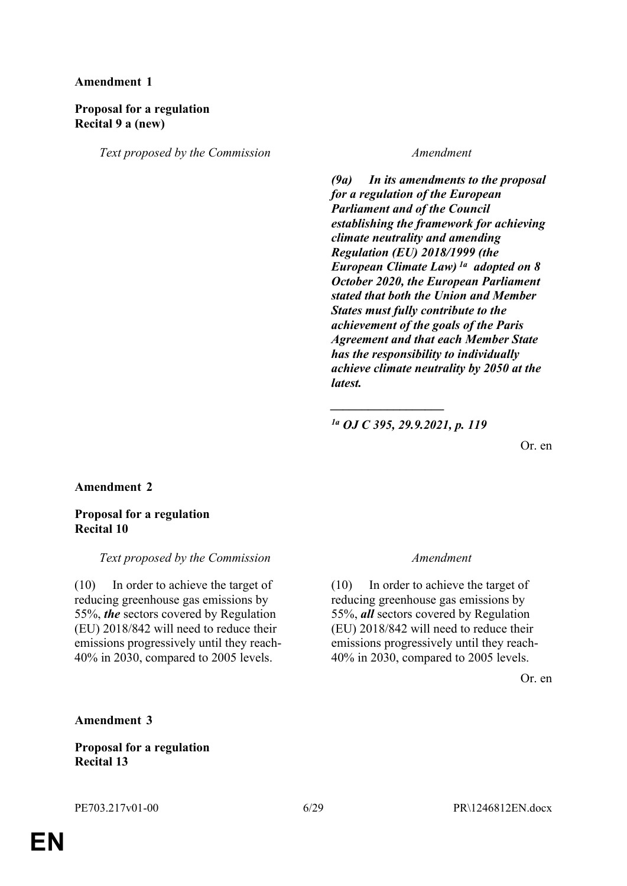#### **Proposal for a regulation Recital 9 a (new)**

*Text proposed by the Commission Amendment*

*(9a) In its amendments to the proposal for a regulation of the European Parliament and of the Council establishing the framework for achieving climate neutrality and amending Regulation (EU) 2018/1999 (the European Climate Law) 1a adopted on 8 October 2020, the European Parliament stated that both the Union and Member States must fully contribute to the achievement of the goals of the Paris Agreement and that each Member State has the responsibility to individually achieve climate neutrality by 2050 at the latest.*

*1a OJ C 395, 29.9.2021, p. 119*

*\_\_\_\_\_\_\_\_\_\_\_\_\_\_\_\_\_\_*

Or. en

#### **Amendment 2**

#### **Proposal for a regulation Recital 10**

#### *Text proposed by the Commission Amendment*

(10) In order to achieve the target of reducing greenhouse gas emissions by 55%, *the* sectors covered by Regulation (EU) 2018/842 will need to reduce their emissions progressively until they reach-40% in 2030, compared to 2005 levels.

(10) In order to achieve the target of reducing greenhouse gas emissions by 55%, *all* sectors covered by Regulation (EU) 2018/842 will need to reduce their emissions progressively until they reach-40% in 2030, compared to 2005 levels.

Or. en

#### **Amendment 3**

#### **Proposal for a regulation Recital 13**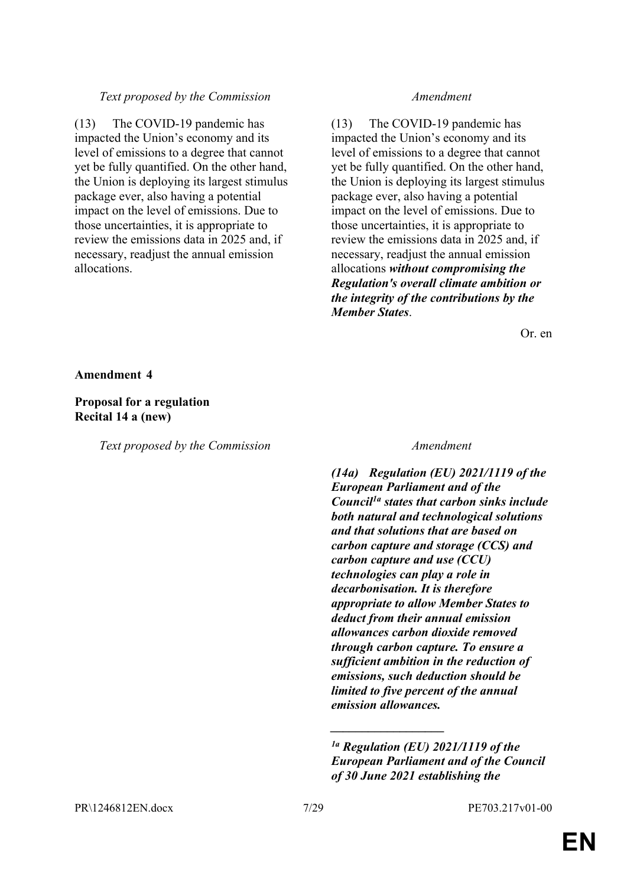#### *Text proposed by the Commission Amendment*

(13) The COVID-19 pandemic has impacted the Union's economy and its level of emissions to a degree that cannot yet be fully quantified. On the other hand, the Union is deploying its largest stimulus package ever, also having a potential impact on the level of emissions. Due to those uncertainties, it is appropriate to review the emissions data in 2025 and, if necessary, readjust the annual emission allocations.

(13) The COVID-19 pandemic has impacted the Union's economy and its level of emissions to a degree that cannot yet be fully quantified. On the other hand, the Union is deploying its largest stimulus package ever, also having a potential impact on the level of emissions. Due to those uncertainties, it is appropriate to review the emissions data in 2025 and, if necessary, readjust the annual emission allocations *without compromising the Regulation's overall climate ambition or the integrity of the contributions by the Member States*.

Or. en

**Amendment 4**

**Proposal for a regulation Recital 14 a (new)**

*Text proposed by the Commission Amendment*

*(14a) Regulation (EU) 2021/1119 of the European Parliament and of the Council1a states that carbon sinks include both natural and technological solutions and that solutions that are based on carbon capture and storage (CCS) and carbon capture and use (CCU) technologies can play a role in decarbonisation. It is therefore appropriate to allow Member States to deduct from their annual emission allowances carbon dioxide removed through carbon capture. To ensure a sufficient ambition in the reduction of emissions, such deduction should be limited to five percent of the annual emission allowances.*

*\_\_\_\_\_\_\_\_\_\_\_\_\_\_\_\_\_\_*

*<sup>1</sup>a Regulation (EU) 2021/1119 of the European Parliament and of the Council of 30 June 2021 establishing the*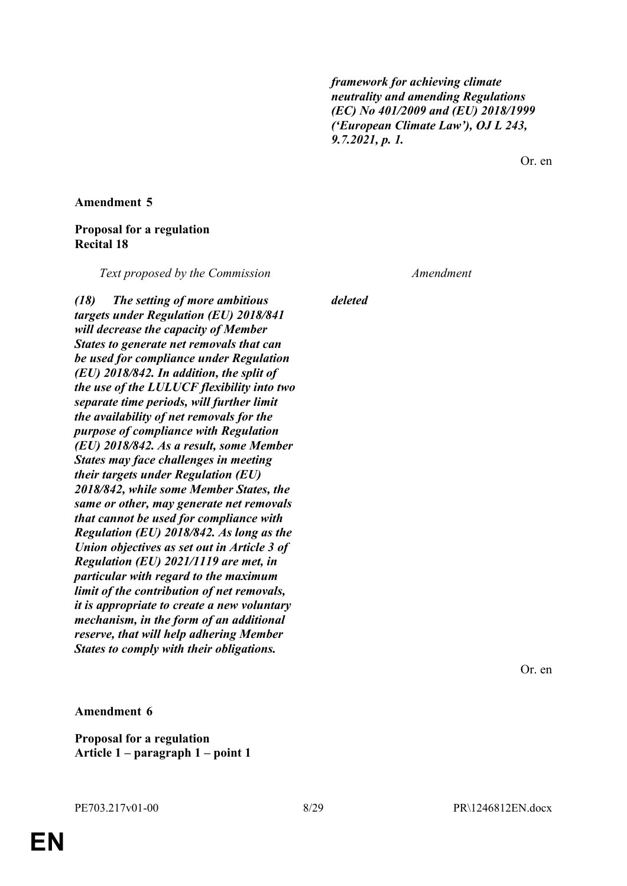*framework for achieving climate neutrality and amending Regulations (EC) No 401/2009 and (EU) 2018/1999 ('European Climate Law'), OJ L 243, 9.7.2021, p. 1.*

Or. en

**Amendment 5**

#### **Proposal for a regulation Recital 18**

*Text proposed by the Commission Amendment*

*(18) The setting of more ambitious targets under Regulation (EU) 2018/841 will decrease the capacity of Member States to generate net removals that can be used for compliance under Regulation (EU) 2018/842. In addition, the split of the use of the LULUCF flexibility into two separate time periods, will further limit the availability of net removals for the purpose of compliance with Regulation (EU) 2018/842. As a result, some Member States may face challenges in meeting their targets under Regulation (EU) 2018/842, while some Member States, the same or other, may generate net removals that cannot be used for compliance with Regulation (EU) 2018/842. As long as the Union objectives as set out in Article 3 of Regulation (EU) 2021/1119 are met, in particular with regard to the maximum limit of the contribution of net removals, it is appropriate to create a new voluntary mechanism, in the form of an additional reserve, that will help adhering Member States to comply with their obligations.*

*deleted*

Or. en

#### **Amendment 6**

**Proposal for a regulation Article 1 – paragraph 1 – point 1**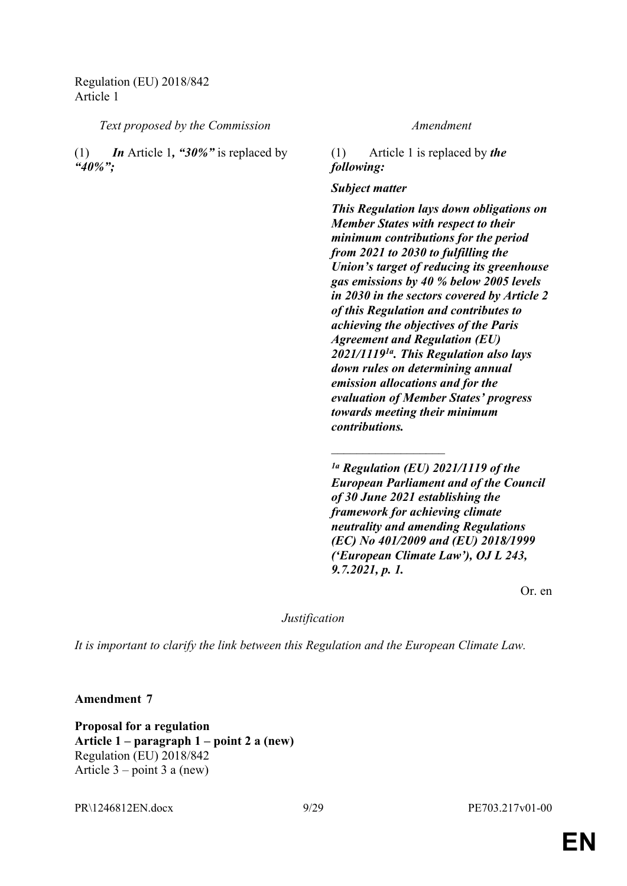Regulation (EU) 2018/842 Article 1

*Text proposed by the Commission Amendment*

(1) *In* Article 1*, "30%"* is replaced by *"40%";*

(1) Article 1 is replaced by *the following:*

*Subject matter*

*This Regulation lays down obligations on Member States with respect to their minimum contributions for the period from 2021 to 2030 to fulfilling the Union's target of reducing its greenhouse gas emissions by 40 % below 2005 levels in 2030 in the sectors covered by Article 2 of this Regulation and contributes to achieving the objectives of the Paris Agreement and Regulation (EU) 2021/11191a. This Regulation also lays down rules on determining annual emission allocations and for the evaluation of Member States' progress towards meeting their minimum contributions.*

*1a Regulation (EU) 2021/1119 of the European Parliament and of the Council of 30 June 2021 establishing the framework for achieving climate neutrality and amending Regulations (EC) No 401/2009 and (EU) 2018/1999 ('European Climate Law'), OJ L 243, 9.7.2021, p. 1.*

 $\overline{\phantom{a}}$  , where  $\overline{\phantom{a}}$ 

Or. en

*Justification*

*It is important to clarify the link between this Regulation and the European Climate Law.*

**Amendment 7**

**Proposal for a regulation Article 1 – paragraph 1 – point 2 a (new)** Regulation (EU) 2018/842 Article  $3$  – point  $3$  a (new)

PR\1246812EN.docx 9/29 PE703.217v01-00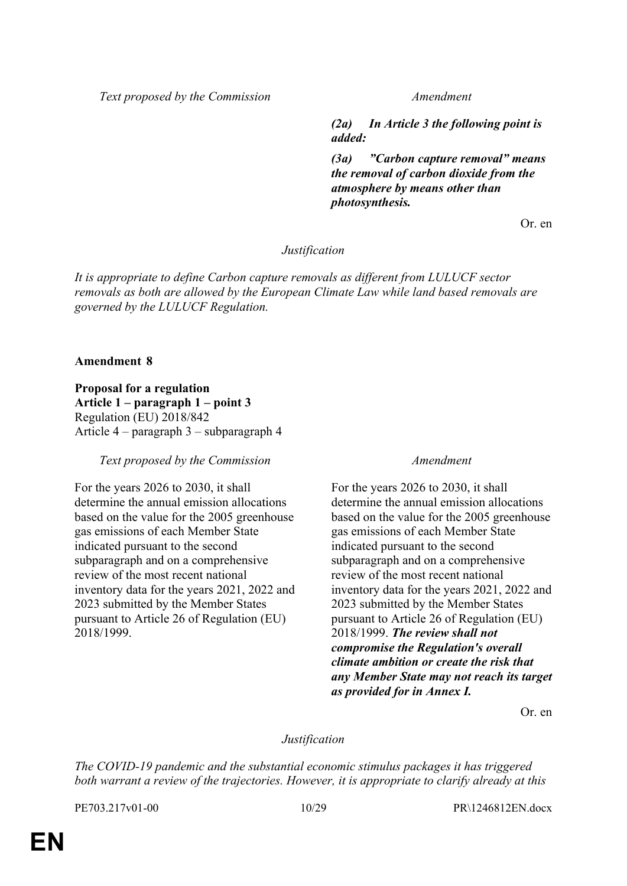*Text proposed by the Commission Amendment*

*(2a) In Article 3 the following point is added:*

*(3a) "Carbon capture removal" means the removal of carbon dioxide from the atmosphere by means other than photosynthesis.*

Or. en

#### *Justification*

*It is appropriate to define Carbon capture removals as different from LULUCF sector removals as both are allowed by the European Climate Law while land based removals are governed by the LULUCF Regulation.*

#### **Amendment 8**

**Proposal for a regulation Article 1 – paragraph 1 – point 3** Regulation (EU) 2018/842 Article 4 – paragraph 3 – subparagraph 4

#### *Text proposed by the Commission Amendment*

For the years 2026 to 2030, it shall determine the annual emission allocations based on the value for the 2005 greenhouse gas emissions of each Member State indicated pursuant to the second subparagraph and on a comprehensive review of the most recent national inventory data for the years 2021, 2022 and 2023 submitted by the Member States pursuant to Article 26 of Regulation (EU) 2018/1999.

For the years 2026 to 2030, it shall determine the annual emission allocations based on the value for the 2005 greenhouse gas emissions of each Member State indicated pursuant to the second subparagraph and on a comprehensive review of the most recent national inventory data for the years 2021, 2022 and 2023 submitted by the Member States pursuant to Article 26 of Regulation (EU) 2018/1999. *The review shall not compromise the Regulation's overall climate ambition or create the risk that any Member State may not reach its target as provided for in Annex I.*

Or. en

#### *Justification*

*The COVID-19 pandemic and the substantial economic stimulus packages it has triggered both warrant a review of the trajectories. However, it is appropriate to clarify already at this*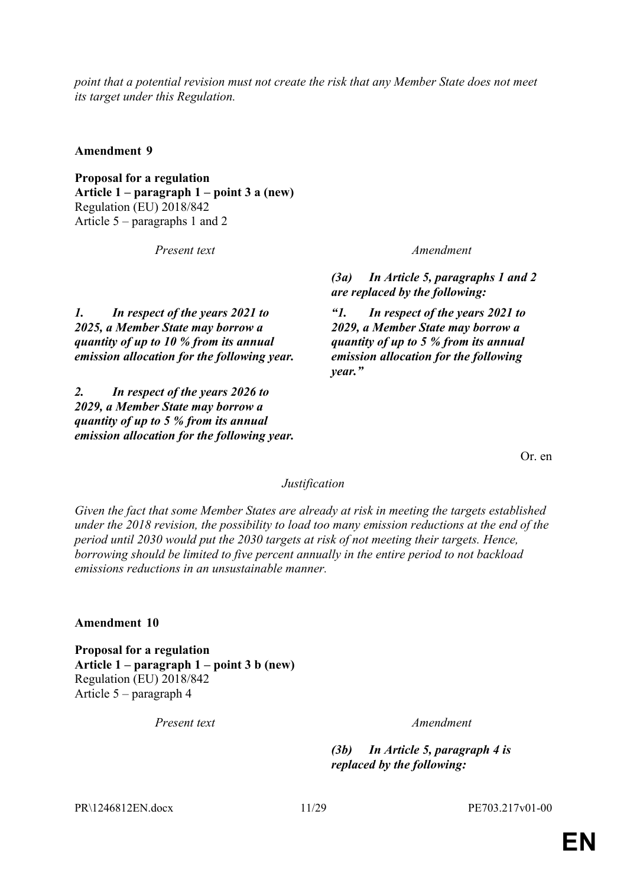*point that a potential revision must not create the risk that any Member State does not meet its target under this Regulation.*

**Amendment 9**

**Proposal for a regulation Article 1 – paragraph 1 – point 3 a (new)** Regulation (EU) 2018/842 Article 5 – paragraphs 1 and 2

*Present text Amendment*

*(3a) In Article 5, paragraphs 1 and 2 are replaced by the following:*

*"1. In respect of the years 2021 to 2029, a Member State may borrow a quantity of up to 5 % from its annual emission allocation for the following year."*

*1. In respect of the years 2021 to 2025, a Member State may borrow a quantity of up to 10 % from its annual emission allocation for the following year.*

*2. In respect of the years 2026 to 2029, a Member State may borrow a quantity of up to 5 % from its annual emission allocation for the following year.*

Or. en

#### *Justification*

*Given the fact that some Member States are already at risk in meeting the targets established under the 2018 revision, the possibility to load too many emission reductions at the end of the period until 2030 would put the 2030 targets at risk of not meeting their targets. Hence, borrowing should be limited to five percent annually in the entire period to not backload emissions reductions in an unsustainable manner.*

**Amendment 10**

**Proposal for a regulation Article 1 – paragraph 1 – point 3 b (new)** Regulation (EU) 2018/842 Article 5 – paragraph 4

*Present text Amendment*

*(3b) In Article 5, paragraph 4 is replaced by the following:*

PR\1246812EN.docx 11/29 PE703.217v01-00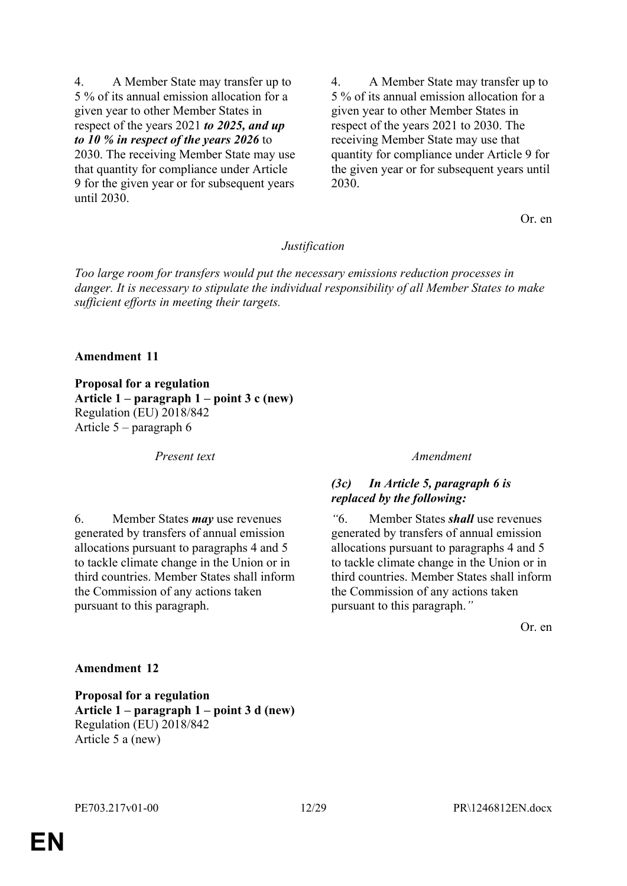4. A Member State may transfer up to 5 % of its annual emission allocation for a given year to other Member States in respect of the years 2021 *to 2025, and up to 10 % in respect of the years 2026* to 2030. The receiving Member State may use that quantity for compliance under Article 9 for the given year or for subsequent years until 2030.

4. A Member State may transfer up to 5 % of its annual emission allocation for a given year to other Member States in respect of the years 2021 to 2030. The receiving Member State may use that quantity for compliance under Article 9 for the given year or for subsequent years until 2030.

Or. en

#### *Justification*

*Too large room for transfers would put the necessary emissions reduction processes in danger. It is necessary to stipulate the individual responsibility of all Member States to make sufficient efforts in meeting their targets.*

#### **Amendment 11**

**Proposal for a regulation Article 1 – paragraph 1 – point 3 c (new)** Regulation (EU) 2018/842 Article 5 – paragraph 6

*Present text Amendment*

6. Member States *may* use revenues generated by transfers of annual emission allocations pursuant to paragraphs 4 and 5 to tackle climate change in the Union or in third countries. Member States shall inform the Commission of any actions taken pursuant to this paragraph.

#### *(3c) In Article 5, paragraph 6 is replaced by the following:*

*"*6. Member States *shall* use revenues generated by transfers of annual emission allocations pursuant to paragraphs 4 and 5 to tackle climate change in the Union or in third countries. Member States shall inform the Commission of any actions taken pursuant to this paragraph.*"*

Or. en

#### **Amendment 12**

**Proposal for a regulation Article 1 – paragraph 1 – point 3 d (new)** Regulation (EU) 2018/842 Article 5 a (new)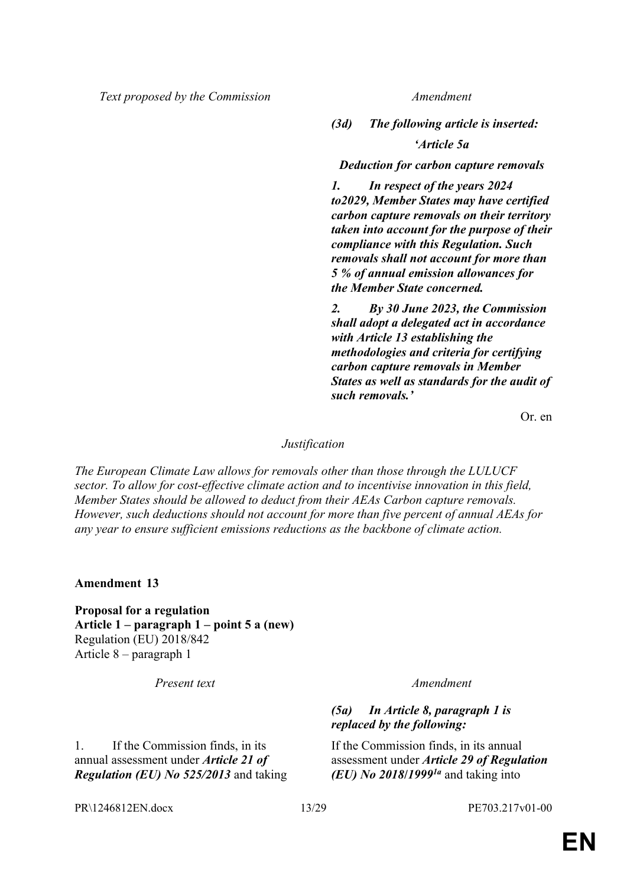*Text proposed by the Commission Amendment*

*(3d) The following article is inserted:*

*'Article 5a*

*Deduction for carbon capture removals*

*1. In respect of the years 2024 to2029, Member States may have certified carbon capture removals on their territory taken into account for the purpose of their compliance with this Regulation. Such removals shall not account for more than 5 % of annual emission allowances for the Member State concerned.*

*2. By 30 June 2023, the Commission shall adopt a delegated act in accordance with Article 13 establishing the methodologies and criteria for certifying carbon capture removals in Member States as well as standards for the audit of such removals.'*

Or. en

#### *Justification*

*The European Climate Law allows for removals other than those through the LULUCF sector. To allow for cost-effective climate action and to incentivise innovation in this field, Member States should be allowed to deduct from their AEAs Carbon capture removals. However, such deductions should not account for more than five percent of annual AEAs for any year to ensure sufficient emissions reductions as the backbone of climate action.*

**Amendment 13**

**Proposal for a regulation Article 1 – paragraph 1 – point 5 a (new)** Regulation (EU) 2018/842 Article 8 – paragraph 1

*Present text Amendment*

1. If the Commission finds, in its annual assessment under *Article 21 of Regulation (EU) No 525/2013* and taking

#### *(5a) In Article 8, paragraph 1 is replaced by the following:*

If the Commission finds, in its annual assessment under *Article 29 of Regulation (EU) No 2018***/***19991a* and taking into

PR\1246812EN.docx 13/29 PE703.217v01-00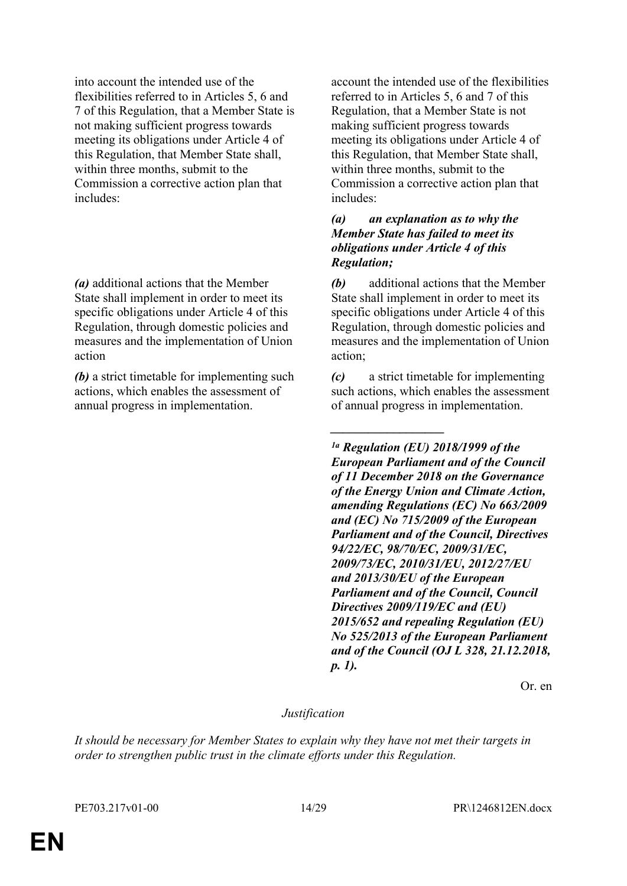into account the intended use of the flexibilities referred to in Articles 5, 6 and 7 of this Regulation, that a Member State is not making sufficient progress towards meeting its obligations under Article 4 of this Regulation, that Member State shall, within three months, submit to the Commission a corrective action plan that includes:

*(a)* additional actions that the Member State shall implement in order to meet its specific obligations under Article 4 of this Regulation, through domestic policies and measures and the implementation of Union action

*(b)* a strict timetable for implementing such actions, which enables the assessment of annual progress in implementation.

account the intended use of the flexibilities referred to in Articles 5, 6 and 7 of this Regulation, that a Member State is not making sufficient progress towards meeting its obligations under Article 4 of this Regulation, that Member State shall, within three months, submit to the Commission a corrective action plan that includes:

#### *(a) an explanation as to why the Member State has failed to meet its obligations under Article 4 of this Regulation;*

*(b)* additional actions that the Member State shall implement in order to meet its specific obligations under Article 4 of this Regulation, through domestic policies and measures and the implementation of Union action;

*(c)* a strict timetable for implementing such actions, which enables the assessment of annual progress in implementation.

*\_\_\_\_\_\_\_\_\_\_\_\_\_\_\_\_\_\_*

*1a Regulation (EU) 2018/1999 of the European Parliament and of the Council of 11 December 2018 on the Governance of the Energy Union and Climate Action, amending Regulations (EC) No 663/2009 and (EC) No 715/2009 of the European Parliament and of the Council, Directives 94/22/EC, 98/70/EC, 2009/31/EC, 2009/73/EC, 2010/31/EU, 2012/27/EU and 2013/30/EU of the European Parliament and of the Council, Council Directives 2009/119/EC and (EU) 2015/652 and repealing Regulation (EU) No 525/2013 of the European Parliament and of the Council (OJ L 328, 21.12.2018, p. 1).*

Or. en

#### *Justification*

*It should be necessary for Member States to explain why they have not met their targets in order to strengthen public trust in the climate efforts under this Regulation.*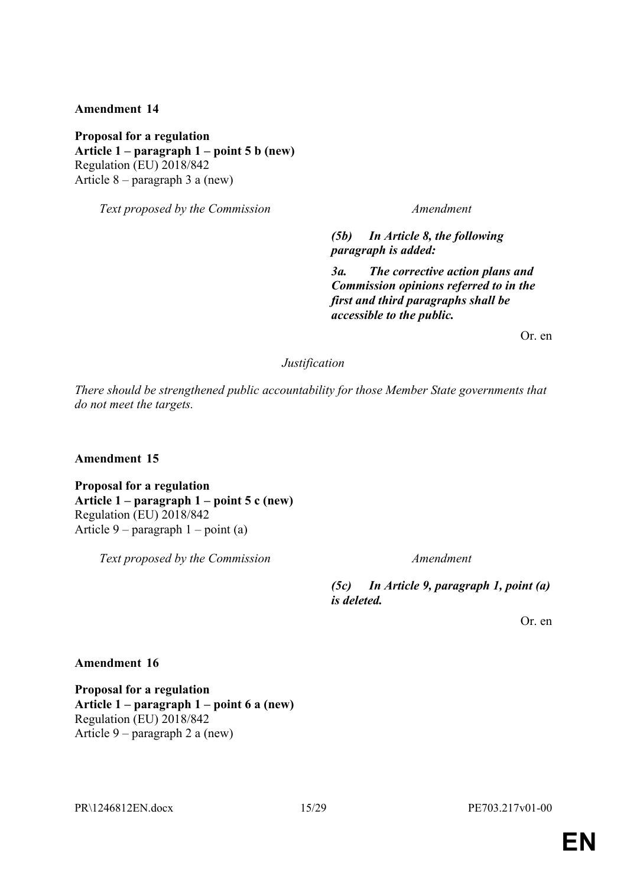**Proposal for a regulation Article 1 – paragraph 1 – point 5 b (new)** Regulation (EU) 2018/842 Article 8 – paragraph 3 a (new)

*Text proposed by the Commission Amendment*

*(5b) In Article 8, the following paragraph is added:*

*3a. The corrective action plans and Commission opinions referred to in the first and third paragraphs shall be accessible to the public.*

Or. en

#### *Justification*

*There should be strengthened public accountability for those Member State governments that do not meet the targets.*

#### **Amendment 15**

**Proposal for a regulation Article 1 – paragraph 1 – point 5 c (new)** Regulation (EU) 2018/842 Article 9 – paragraph 1 – point (a)

*Text proposed by the Commission Amendment*

*(5c) In Article 9, paragraph 1, point (a) is deleted.*

Or. en

#### **Amendment 16**

**Proposal for a regulation Article 1 – paragraph 1 – point 6 a (new)** Regulation (EU) 2018/842 Article 9 – paragraph 2 a (new)

PR\1246812EN.docx 15/29 PE703.217v01-00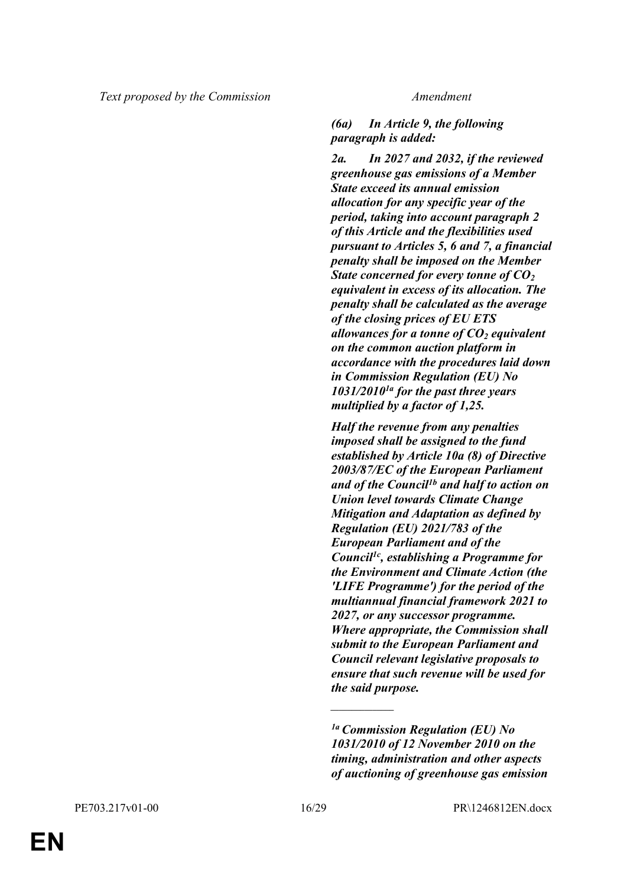#### *(6a) In Article 9, the following paragraph is added:*

*2a. In 2027 and 2032, if the reviewed greenhouse gas emissions of a Member State exceed its annual emission allocation for any specific year of the period, taking into account paragraph 2 of this Article and the flexibilities used pursuant to Articles 5, 6 and 7, a financial penalty shall be imposed on the Member State concerned for every tonne of CO<sup>2</sup> equivalent in excess of its allocation. The penalty shall be calculated as the average of the closing prices of EU ETS allowances for a tonne of CO2 equivalent on the common auction platform in accordance with the procedures laid down in Commission Regulation (EU) No 1031/20101a for the past three years multiplied by a factor of 1,25.*

*Half the revenue from any penalties imposed shall be assigned to the fund established by Article 10a (8) of Directive 2003/87/EC of the European Parliament and of the Council1b and half to action on Union level towards Climate Change Mitigation and Adaptation as defined by Regulation (EU) 2021/783 of the European Parliament and of the Council1c, establishing a Programme for the Environment and Climate Action (the 'LIFE Programme') for the period of the multiannual financial framework 2021 to 2027, or any successor programme. Where appropriate, the Commission shall submit to the European Parliament and Council relevant legislative proposals to ensure that such revenue will be used for the said purpose.*

*\_\_\_\_\_\_\_\_\_\_\_\_\_\_\_*

*<sup>1</sup>a Commission Regulation (EU) No 1031/2010 of 12 November 2010 on the timing, administration and other aspects of auctioning of greenhouse gas emission*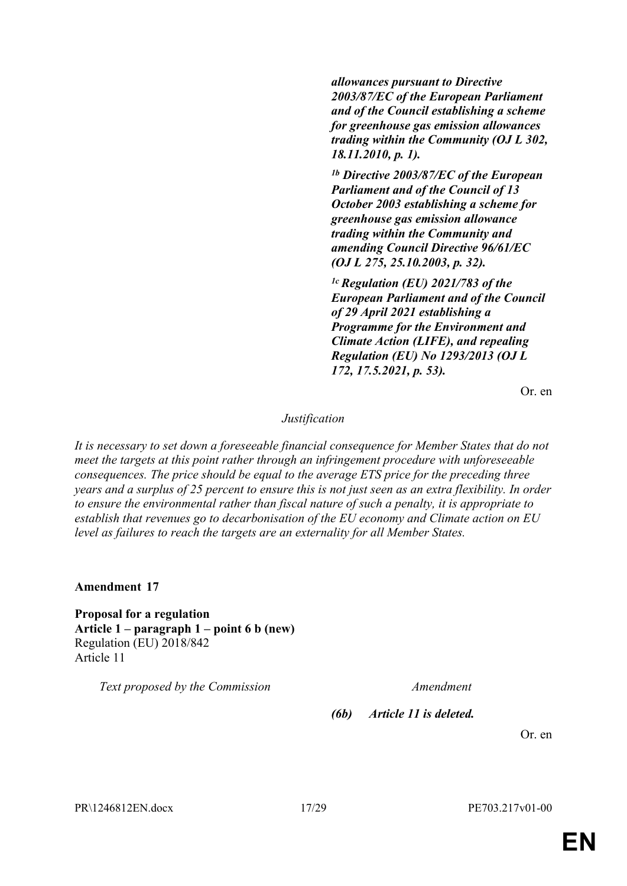*allowances pursuant to Directive 2003/87/EC of the European Parliament and of the Council establishing a scheme for greenhouse gas emission allowances trading within the Community (OJ L 302, 18.11.2010, p. 1).*

*1b Directive 2003/87/EC of the European Parliament and of the Council of 13 October 2003 establishing a scheme for greenhouse gas emission allowance trading within the Community and amending Council Directive 96/61/EC (OJ L 275, 25.10.2003, p. 32).*

*1c Regulation (EU) 2021/783 of the European Parliament and of the Council of 29 April 2021 establishing a Programme for the Environment and Climate Action (LIFE), and repealing Regulation (EU) No 1293/2013 (OJ L 172, 17.5.2021, p. 53).*

Or. en

#### *Justification*

*It is necessary to set down a foreseeable financial consequence for Member States that do not meet the targets at this point rather through an infringement procedure with unforeseeable consequences. The price should be equal to the average ETS price for the preceding three years and a surplus of 25 percent to ensure this is not just seen as an extra flexibility. In order to ensure the environmental rather than fiscal nature of such a penalty, it is appropriate to establish that revenues go to decarbonisation of the EU economy and Climate action on EU level as failures to reach the targets are an externality for all Member States.*

**Amendment 17**

**Proposal for a regulation Article 1 – paragraph 1 – point 6 b (new)** Regulation (EU) 2018/842 Article 11

*Text proposed by the Commission Amendment*

*(6b) Article 11 is deleted.*

Or. en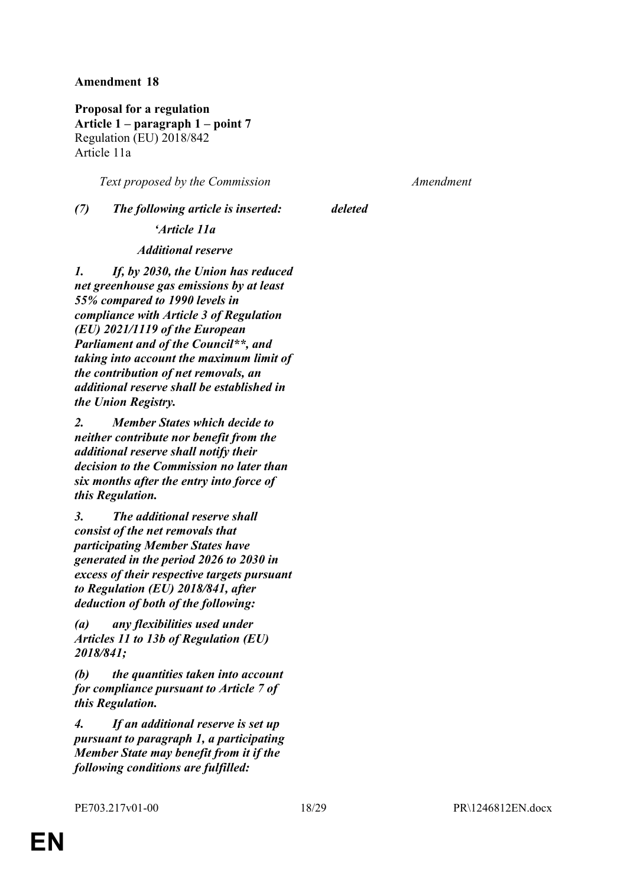**Proposal for a regulation Article 1 – paragraph 1 – point 7** Regulation (EU) 2018/842 Article 11a

*Text proposed by the Commission Amendment*

# *(7) The following article is inserted: deleted*

#### *'Article 11a*

#### *Additional reserve*

*1. If, by 2030, the Union has reduced net greenhouse gas emissions by at least 55% compared to 1990 levels in compliance with Article 3 of Regulation (EU) 2021/1119 of the European Parliament and of the Council\*\*, and taking into account the maximum limit of the contribution of net removals, an additional reserve shall be established in the Union Registry.*

*2. Member States which decide to neither contribute nor benefit from the additional reserve shall notify their decision to the Commission no later than six months after the entry into force of this Regulation.*

*3. The additional reserve shall consist of the net removals that participating Member States have generated in the period 2026 to 2030 in excess of their respective targets pursuant to Regulation (EU) 2018/841, after deduction of both of the following:*

*(a) any flexibilities used under Articles 11 to 13b of Regulation (EU) 2018/841;*

*(b) the quantities taken into account for compliance pursuant to Article 7 of this Regulation.*

*4. If an additional reserve is set up pursuant to paragraph 1, a participating Member State may benefit from it if the following conditions are fulfilled:*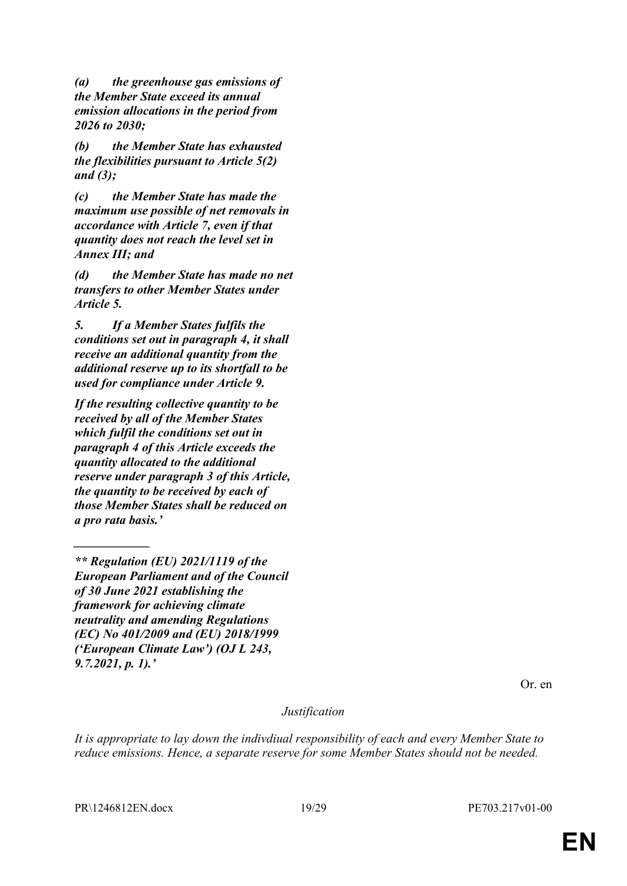*(a) the greenhouse gas emissions of the Member State exceed its annual emission allocations in the period from 2026 to 2030;*

*(b) the Member State has exhausted the flexibilities pursuant to Article 5(2) and (3);*

*(c) the Member State has made the maximum use possible of net removals in accordance with Article 7, even if that quantity does not reach the level set in Annex III; and*

*(d) the Member State has made no net transfers to other Member States under Article 5.*

*5. If a Member States fulfils the conditions set out in paragraph 4, it shall receive an additional quantity from the additional reserve up to its shortfall to be used for compliance under Article 9.*

*If the resulting collective quantity to be received by all of the Member States which fulfil the conditions set out in paragraph 4 of this Article exceeds the quantity allocated to the additional reserve under paragraph 3 of this Article, the quantity to be received by each of those Member States shall be reduced on a pro rata basis.'*

Or. en

#### *Justification*

*It is appropriate to lay down the indivdiual responsibility of each and every Member State to reduce emissions. Hence, a separate reserve for some Member States should not be needed.*

*\_\_\_\_\_\_\_\_\_\_\_\_*

*<sup>\*\*</sup> Regulation (EU) 2021/1119 of the European Parliament and of the Council of 30 June 2021 establishing the framework for achieving climate neutrality and amending Regulations (EC) No 401/2009 and (EU) 2018/1999 ('European Climate Law') (OJ L 243, 9.7.2021, p. 1).'*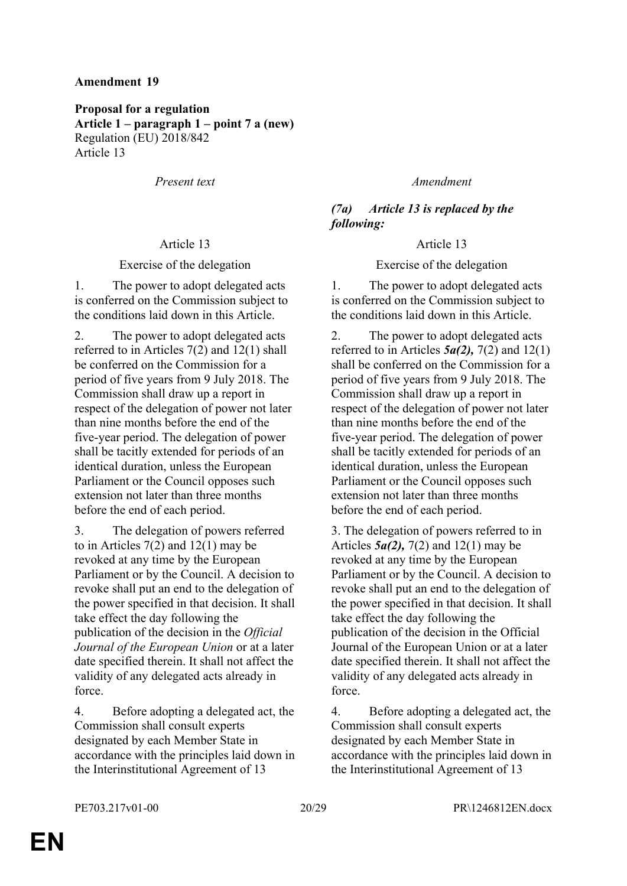**Proposal for a regulation Article 1 – paragraph 1 – point 7 a (new)** Regulation (EU) 2018/842 Article 13

*Present text Amendment*

#### Article 13 Article 13

#### Exercise of the delegation Exercise of the delegation

1. The power to adopt delegated acts is conferred on the Commission subject to the conditions laid down in this Article.

2. The power to adopt delegated acts referred to in Articles 7(2) and 12(1) shall be conferred on the Commission for a period of five years from 9 July 2018. The Commission shall draw up a report in respect of the delegation of power not later than nine months before the end of the five-year period. The delegation of power shall be tacitly extended for periods of an identical duration, unless the European Parliament or the Council opposes such extension not later than three months before the end of each period.

3. The delegation of powers referred to in Articles  $7(2)$  and  $12(1)$  may be revoked at any time by the European Parliament or by the Council. A decision to revoke shall put an end to the delegation of the power specified in that decision. It shall take effect the day following the publication of the decision in the *Official Journal of the European Union* or at a later date specified therein. It shall not affect the validity of any delegated acts already in force.

4. Before adopting a delegated act, the Commission shall consult experts designated by each Member State in accordance with the principles laid down in the Interinstitutional Agreement of 13

*(7a) Article 13 is replaced by the following:*

1. The power to adopt delegated acts is conferred on the Commission subject to the conditions laid down in this Article.

2. The power to adopt delegated acts referred to in Articles  $5a(2)$ ,  $7(2)$  and  $12(1)$ shall be conferred on the Commission for a period of five years from 9 July 2018. The Commission shall draw up a report in respect of the delegation of power not later than nine months before the end of the five-year period. The delegation of power shall be tacitly extended for periods of an identical duration, unless the European Parliament or the Council opposes such extension not later than three months before the end of each period.

3. The delegation of powers referred to in Articles *5a(2),* 7(2) and 12(1) may be revoked at any time by the European Parliament or by the Council. A decision to revoke shall put an end to the delegation of the power specified in that decision. It shall take effect the day following the publication of the decision in the Official Journal of the European Union or at a later date specified therein. It shall not affect the validity of any delegated acts already in force.

4. Before adopting a delegated act, the Commission shall consult experts designated by each Member State in accordance with the principles laid down in the Interinstitutional Agreement of 13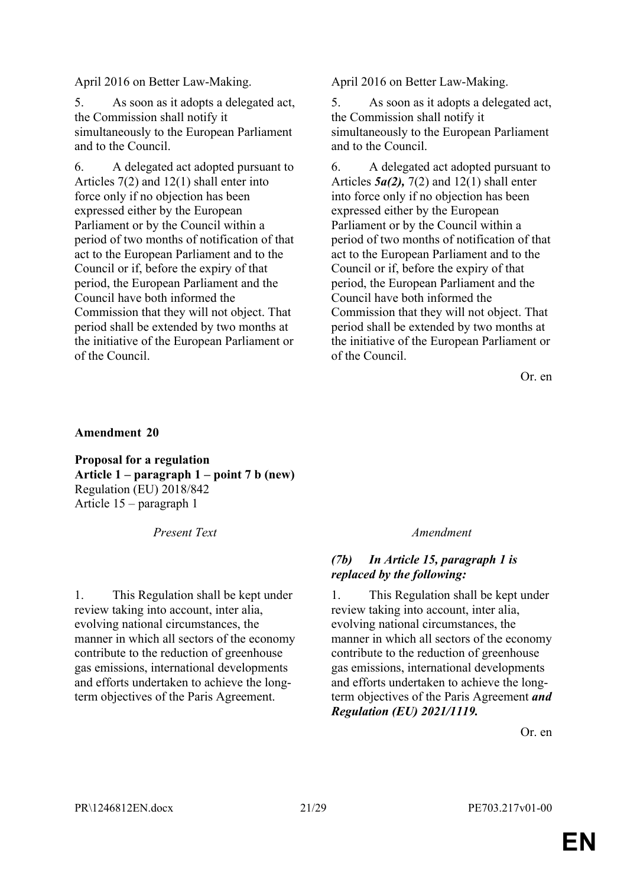April 2016 on Better Law-Making. April 2016 on Better Law-Making.

5. As soon as it adopts a delegated act, the Commission shall notify it simultaneously to the European Parliament and to the Council.

6. A delegated act adopted pursuant to Articles 7(2) and 12(1) shall enter into force only if no objection has been expressed either by the European Parliament or by the Council within a period of two months of notification of that act to the European Parliament and to the Council or if, before the expiry of that period, the European Parliament and the Council have both informed the Commission that they will not object. That period shall be extended by two months at the initiative of the European Parliament or of the Council.

5. As soon as it adopts a delegated act, the Commission shall notify it simultaneously to the European Parliament and to the Council.

6. A delegated act adopted pursuant to Articles *5a(2),* 7(2) and 12(1) shall enter into force only if no objection has been expressed either by the European Parliament or by the Council within a period of two months of notification of that act to the European Parliament and to the Council or if, before the expiry of that period, the European Parliament and the Council have both informed the Commission that they will not object. That period shall be extended by two months at the initiative of the European Parliament or of the Council.

Or. en

#### **Amendment 20**

**Proposal for a regulation Article 1 – paragraph 1 – point 7 b (new)** Regulation (EU) 2018/842 Article 15 – paragraph 1

*Present Text Amendment*

1. This Regulation shall be kept under review taking into account, inter alia, evolving national circumstances, the manner in which all sectors of the economy contribute to the reduction of greenhouse gas emissions, international developments and efforts undertaken to achieve the longterm objectives of the Paris Agreement.

#### *(7b) In Article 15, paragraph 1 is replaced by the following:*

1. This Regulation shall be kept under review taking into account, inter alia, evolving national circumstances, the manner in which all sectors of the economy contribute to the reduction of greenhouse gas emissions, international developments and efforts undertaken to achieve the longterm objectives of the Paris Agreement *and Regulation (EU) 2021/1119.*

Or. en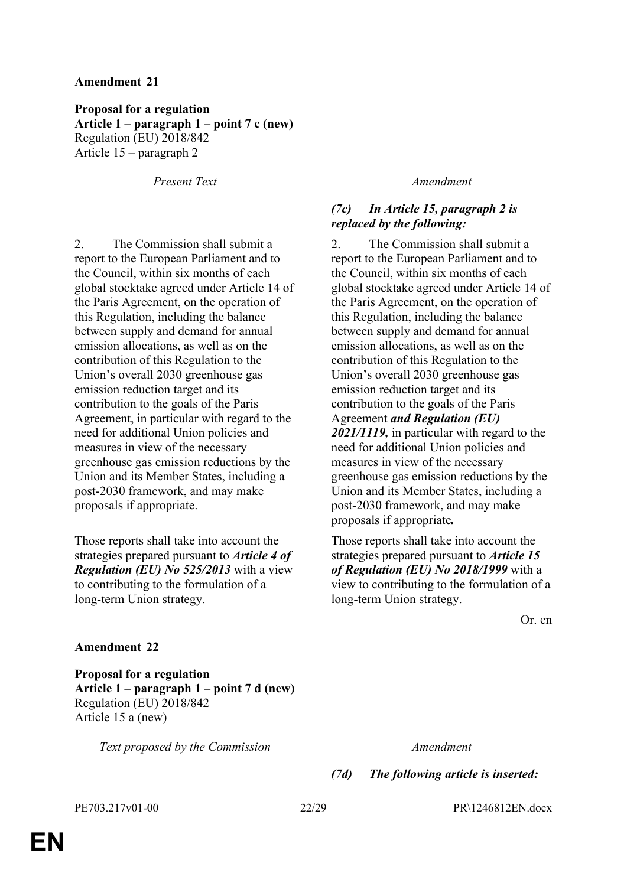**Proposal for a regulation Article 1 – paragraph 1 – point 7 c (new)** Regulation (EU) 2018/842 Article 15 – paragraph 2

*Present Text Amendment*

2. The Commission shall submit a report to the European Parliament and to the Council, within six months of each global stocktake agreed under Article 14 of the Paris Agreement, on the operation of this Regulation, including the balance between supply and demand for annual emission allocations, as well as on the contribution of this Regulation to the Union's overall 2030 greenhouse gas emission reduction target and its contribution to the goals of the Paris Agreement, in particular with regard to the need for additional Union policies and measures in view of the necessary greenhouse gas emission reductions by the Union and its Member States, including a post-2030 framework, and may make proposals if appropriate.

Those reports shall take into account the strategies prepared pursuant to *Article 4 of Regulation (EU) No 525/2013* with a view to contributing to the formulation of a long-term Union strategy.

#### *(7c) In Article 15, paragraph 2 is replaced by the following:*

2. The Commission shall submit a report to the European Parliament and to the Council, within six months of each global stocktake agreed under Article 14 of the Paris Agreement, on the operation of this Regulation, including the balance between supply and demand for annual emission allocations, as well as on the contribution of this Regulation to the Union's overall 2030 greenhouse gas emission reduction target and its contribution to the goals of the Paris Agreement *and Regulation (EU) 2021/1119,* in particular with regard to the need for additional Union policies and measures in view of the necessary greenhouse gas emission reductions by the Union and its Member States, including a post-2030 framework, and may make proposals if appropriate*.*

Those reports shall take into account the strategies prepared pursuant to *Article 15 of Regulation (EU) No 2018/1999* with a view to contributing to the formulation of a long-term Union strategy.

Or. en

#### **Amendment 22**

**Proposal for a regulation Article 1 – paragraph 1 – point 7 d (new)** Regulation (EU) 2018/842 Article 15 a (new)

*Text proposed by the Commission Amendment*

*(7d) The following article is inserted:*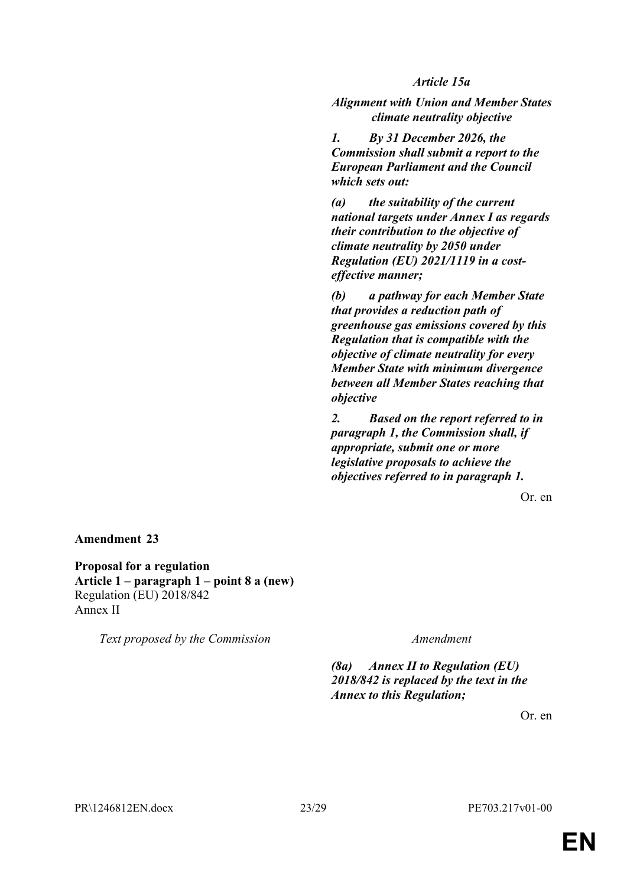*Article 15a*

*Alignment with Union and Member States climate neutrality objective*

*1. By 31 December 2026, the Commission shall submit a report to the European Parliament and the Council which sets out:*

*(a) the suitability of the current national targets under Annex I as regards their contribution to the objective of climate neutrality by 2050 under Regulation (EU) 2021/1119 in a costeffective manner;*

*(b) a pathway for each Member State that provides a reduction path of greenhouse gas emissions covered by this Regulation that is compatible with the objective of climate neutrality for every Member State with minimum divergence between all Member States reaching that objective*

*2. Based on the report referred to in paragraph 1, the Commission shall, if appropriate, submit one or more legislative proposals to achieve the objectives referred to in paragraph 1.*

Or. en

**Amendment 23**

**Proposal for a regulation Article 1 – paragraph 1 – point 8 a (new)** Regulation (EU) 2018/842 Annex II

*Text proposed by the Commission Amendment*

*(8a) Annex II to Regulation (EU) 2018/842 is replaced by the text in the Annex to this Regulation;*

Or. en

PR\1246812EN.docx 23/29 PE703.217v01-00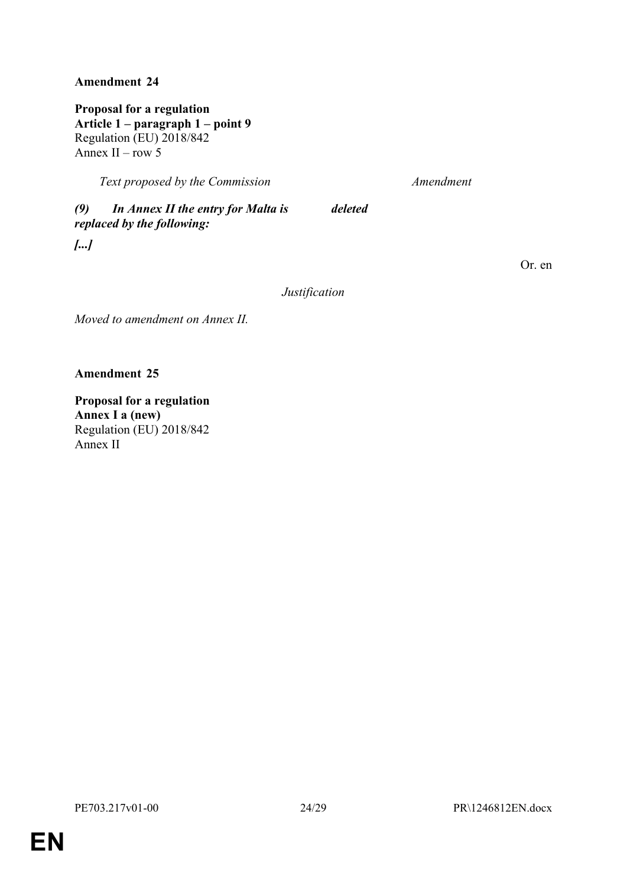**Proposal for a regulation Article 1 – paragraph 1 – point 9** Regulation (EU) 2018/842 Annex II – row 5

*Text proposed by the Commission Amendment*

*(9) In Annex II the entry for Malta is replaced by the following: deleted*

*[...]*

Or. en

*Justification*

*Moved to amendment on Annex II.*

**Amendment 25**

**Proposal for a regulation Annex I a (new)** Regulation (EU) 2018/842 Annex II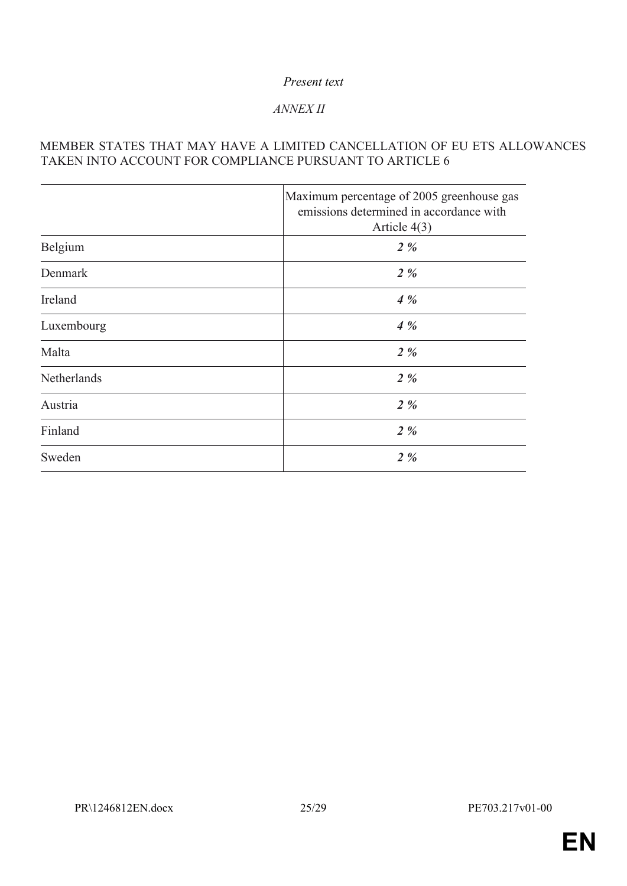### *Present text*

## *ANNEX II*

### MEMBER STATES THAT MAY HAVE A LIMITED CANCELLATION OF EU ETS ALLOWANCES TAKEN INTO ACCOUNT FOR COMPLIANCE PURSUANT TO ARTICLE 6

|             | Maximum percentage of 2005 greenhouse gas<br>emissions determined in accordance with<br>Article $4(3)$ |
|-------------|--------------------------------------------------------------------------------------------------------|
| Belgium     | $2\%$                                                                                                  |
| Denmark     | $2\%$                                                                                                  |
| Ireland     | $4\%$                                                                                                  |
| Luxembourg  | 4%                                                                                                     |
| Malta       | $2\%$                                                                                                  |
| Netherlands | $2\%$                                                                                                  |
| Austria     | $2\%$                                                                                                  |
| Finland     | $2\%$                                                                                                  |
| Sweden      | $2\%$                                                                                                  |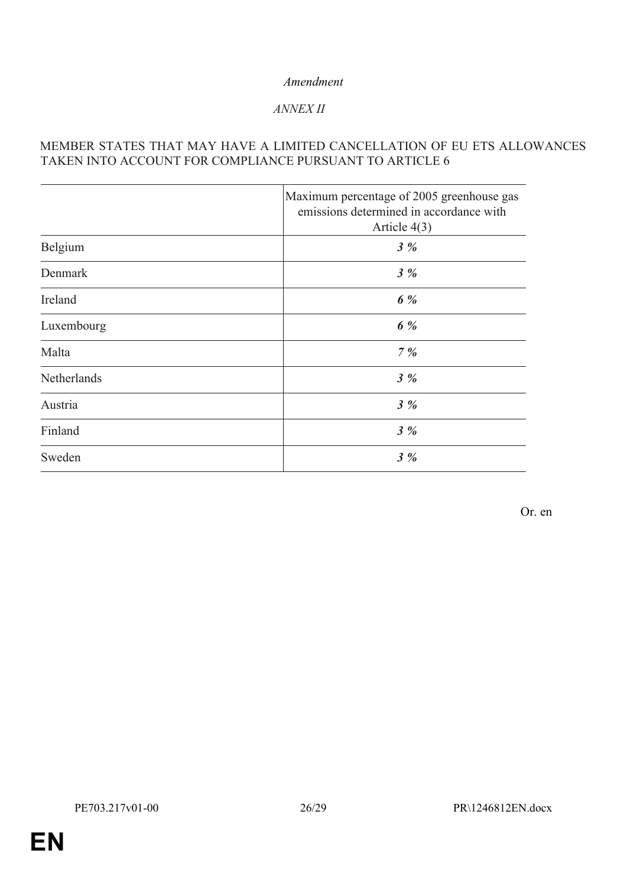### *ANNEX II*

### MEMBER STATES THAT MAY HAVE A LIMITED CANCELLATION OF EU ETS ALLOWANCES TAKEN INTO ACCOUNT FOR COMPLIANCE PURSUANT TO ARTICLE 6

|             | Maximum percentage of 2005 greenhouse gas<br>emissions determined in accordance with<br>Article $4(3)$ |
|-------------|--------------------------------------------------------------------------------------------------------|
| Belgium     | 3%                                                                                                     |
| Denmark     | 3%                                                                                                     |
| Ireland     | 6 %                                                                                                    |
| Luxembourg  | 6 %                                                                                                    |
| Malta       | 7%                                                                                                     |
| Netherlands | $3\%$                                                                                                  |
| Austria     | 3%                                                                                                     |
| Finland     | 3%                                                                                                     |
| Sweden      | $3\%$                                                                                                  |

Or. en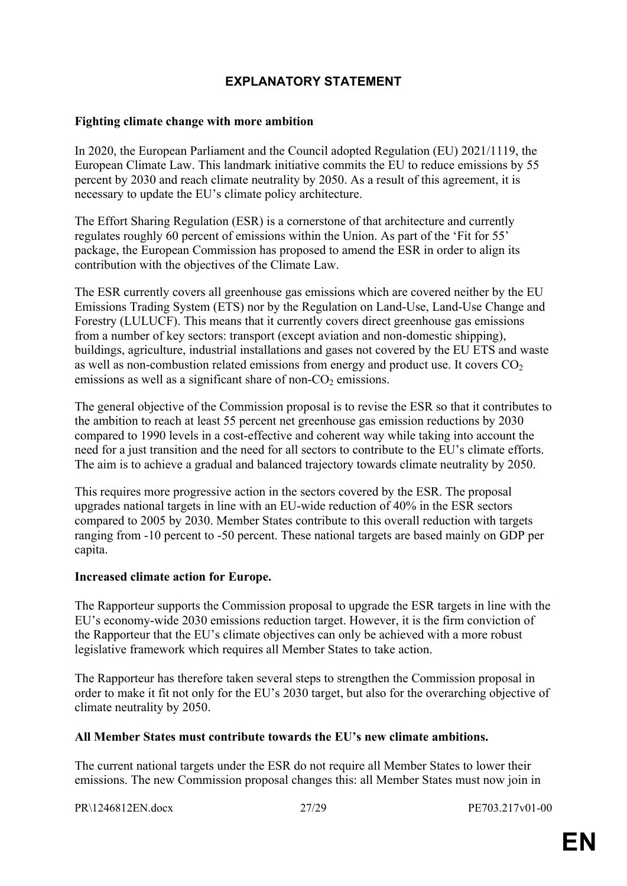# <span id="page-26-0"></span>**EXPLANATORY STATEMENT**

#### **Fighting climate change with more ambition**

In 2020, the European Parliament and the Council adopted Regulation (EU) 2021/1119, the European Climate Law. This landmark initiative commits the EU to reduce emissions by 55 percent by 2030 and reach climate neutrality by 2050. As a result of this agreement, it is necessary to update the EU's climate policy architecture.

The Effort Sharing Regulation (ESR) is a cornerstone of that architecture and currently regulates roughly 60 percent of emissions within the Union. As part of the 'Fit for 55' package, the European Commission has proposed to amend the ESR in order to align its contribution with the objectives of the Climate Law.

The ESR currently covers all greenhouse gas emissions which are covered neither by the EU Emissions Trading System (ETS) nor by the Regulation on Land-Use, Land-Use Change and Forestry (LULUCF). This means that it currently covers direct greenhouse gas emissions from a number of key sectors: transport (except aviation and non-domestic shipping), buildings, agriculture, industrial installations and gases not covered by the EU ETS and waste as well as non-combustion related emissions from energy and product use. It covers  $CO<sub>2</sub>$ emissions as well as a significant share of non- $CO<sub>2</sub>$  emissions.

The general objective of the Commission proposal is to revise the ESR so that it contributes to the ambition to reach at least 55 percent net greenhouse gas emission reductions by 2030 compared to 1990 levels in a cost-effective and coherent way while taking into account the need for a just transition and the need for all sectors to contribute to the EU's climate efforts. The aim is to achieve a gradual and balanced trajectory towards climate neutrality by 2050.

This requires more progressive action in the sectors covered by the ESR. The proposal upgrades national targets in line with an EU-wide reduction of 40% in the ESR sectors compared to 2005 by 2030. Member States contribute to this overall reduction with targets ranging from -10 percent to -50 percent. These national targets are based mainly on GDP per capita.

#### **Increased climate action for Europe.**

The Rapporteur supports the Commission proposal to upgrade the ESR targets in line with the EU's economy-wide 2030 emissions reduction target. However, it is the firm conviction of the Rapporteur that the EU's climate objectives can only be achieved with a more robust legislative framework which requires all Member States to take action.

The Rapporteur has therefore taken several steps to strengthen the Commission proposal in order to make it fit not only for the EU's 2030 target, but also for the overarching objective of climate neutrality by 2050.

#### **All Member States must contribute towards the EU's new climate ambitions.**

The current national targets under the ESR do not require all Member States to lower their emissions. The new Commission proposal changes this: all Member States must now join in

PR\1246812EN.docx 27/29 PE703.217v01-00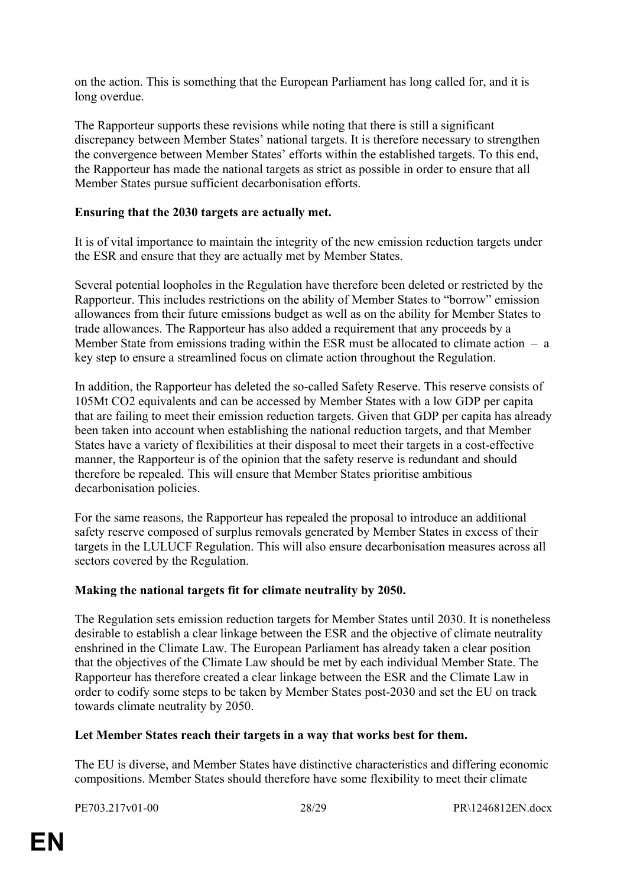on the action. This is something that the European Parliament has long called for, and it is long overdue.

The Rapporteur supports these revisions while noting that there is still a significant discrepancy between Member States' national targets. It is therefore necessary to strengthen the convergence between Member States' efforts within the established targets. To this end, the Rapporteur has made the national targets as strict as possible in order to ensure that all Member States pursue sufficient decarbonisation efforts.

#### **Ensuring that the 2030 targets are actually met.**

It is of vital importance to maintain the integrity of the new emission reduction targets under the ESR and ensure that they are actually met by Member States.

Several potential loopholes in the Regulation have therefore been deleted or restricted by the Rapporteur. This includes restrictions on the ability of Member States to "borrow" emission allowances from their future emissions budget as well as on the ability for Member States to trade allowances. The Rapporteur has also added a requirement that any proceeds by a Member State from emissions trading within the ESR must be allocated to climate action  $-$  a key step to ensure a streamlined focus on climate action throughout the Regulation.

In addition, the Rapporteur has deleted the so-called Safety Reserve. This reserve consists of 105Mt CO2 equivalents and can be accessed by Member States with a low GDP per capita that are failing to meet their emission reduction targets. Given that GDP per capita has already been taken into account when establishing the national reduction targets, and that Member States have a variety of flexibilities at their disposal to meet their targets in a cost-effective manner, the Rapporteur is of the opinion that the safety reserve is redundant and should therefore be repealed. This will ensure that Member States prioritise ambitious decarbonisation policies.

For the same reasons, the Rapporteur has repealed the proposal to introduce an additional safety reserve composed of surplus removals generated by Member States in excess of their targets in the LULUCF Regulation. This will also ensure decarbonisation measures across all sectors covered by the Regulation.

#### **Making the national targets fit for climate neutrality by 2050.**

The Regulation sets emission reduction targets for Member States until 2030. It is nonetheless desirable to establish a clear linkage between the ESR and the objective of climate neutrality enshrined in the Climate Law. The European Parliament has already taken a clear position that the objectives of the Climate Law should be met by each individual Member State. The Rapporteur has therefore created a clear linkage between the ESR and the Climate Law in order to codify some steps to be taken by Member States post-2030 and set the EU on track towards climate neutrality by 2050.

#### **Let Member States reach their targets in a way that works best for them.**

The EU is diverse, and Member States have distinctive characteristics and differing economic compositions. Member States should therefore have some flexibility to meet their climate